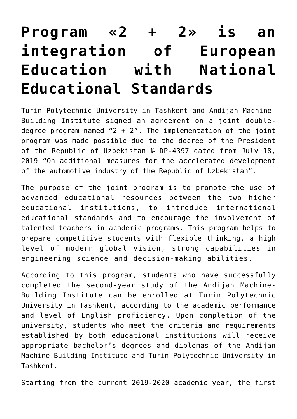## **[Program «2 + 2» is an](https://polito.uz/6194/) [integration of European](https://polito.uz/6194/) [Education with National](https://polito.uz/6194/) [Educational Standards](https://polito.uz/6194/)**

Turin Polytechnic University in Tashkent and Andijan Machine-Building Institute signed an agreement on a joint doubledegree program named " $2 + 2$ ". The implementation of the joint program was made possible due to the decree of the President of the Republic of Uzbekistan № DP-4397 dated from July 18, 2019 "On additional measures for the accelerated development of the automotive industry of the Republic of Uzbekistan".

The purpose of the joint program is to promote the use of advanced educational resources between the two higher educational institutions, to introduce international educational standards and to encourage the involvement of talented teachers in academic programs. This program helps to prepare competitive students with flexible thinking, a high level of modern global vision, strong capabilities in engineering science and decision-making abilities.

According to this program, students who have successfully completed the second-year study of the Andijan Machine-Building Institute can be enrolled at Turin Polytechnic University in Tashkent, according to the academic performance and level of English proficiency. Upon completion of the university, students who meet the criteria and requirements established by both educational institutions will receive appropriate bachelor's degrees and diplomas of the Andijan Machine-Building Institute and Turin Polytechnic University in Tashkent.

Starting from the current 2019-2020 academic year, the first